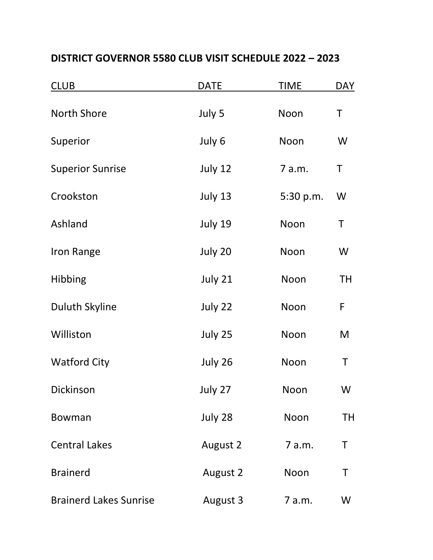| <b>CLUB</b>                   | <b>DATE</b> | <b>TIME</b> | <b>DAY</b> |
|-------------------------------|-------------|-------------|------------|
| <b>North Shore</b>            | July 5      | Noon        | Τ          |
| Superior                      | July 6      | Noon        | W          |
| <b>Superior Sunrise</b>       | July 12     | 7 a.m.      | T          |
| Crookston                     | July 13     | 5:30 p.m.   | W          |
| Ashland                       | July 19     | Noon        | Τ          |
| Iron Range                    | July 20     | Noon        | W          |
| Hibbing                       | July 21     | Noon        | <b>TH</b>  |
| <b>Duluth Skyline</b>         | July 22     | Noon        | F          |
| Williston                     | July 25     | Noon        | M          |
| <b>Watford City</b>           | July 26     | Noon        | Τ          |
| Dickinson                     | July 27     | Noon        | W          |
| <b>Bowman</b>                 | July 28     | Noon        | TH         |
| <b>Central Lakes</b>          | August 2    | 7 a.m.      | Τ          |
| <b>Brainerd</b>               | August 2    | Noon        | T          |
| <b>Brainerd Lakes Sunrise</b> | August 3    | 7 a.m.      | W          |

## **DISTRICT GOVERNOR 5580 CLUB VISIT SCHEDULE 2022 – 2023**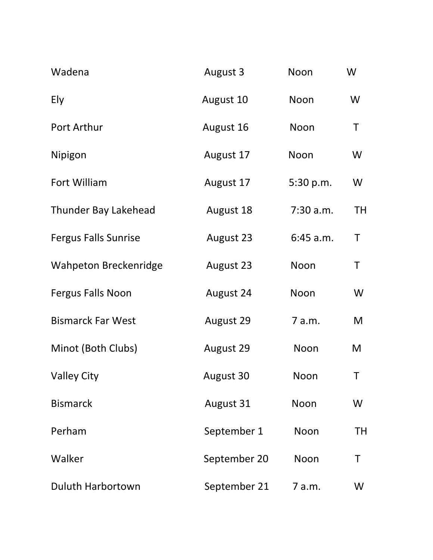| Wadena                       | August 3     | Noon      | W         |
|------------------------------|--------------|-----------|-----------|
| Ely                          | August 10    | Noon      | W         |
| Port Arthur                  | August 16    | Noon      | Τ         |
| Nipigon                      | August 17    | Noon      | W         |
| Fort William                 | August 17    | 5:30 p.m. | W         |
| <b>Thunder Bay Lakehead</b>  | August 18    | 7:30 a.m. | <b>TH</b> |
| <b>Fergus Falls Sunrise</b>  | August 23    | 6:45 a.m. | Τ         |
| <b>Wahpeton Breckenridge</b> | August 23    | Noon      | Τ         |
| <b>Fergus Falls Noon</b>     | August 24    | Noon      | W         |
| <b>Bismarck Far West</b>     | August 29    | 7 a.m.    | M         |
| Minot (Both Clubs)           | August 29    | Noon      | M         |
| <b>Valley City</b>           | August 30    | Noon      | Τ         |
| <b>Bismarck</b>              | August 31    | Noon      | W         |
| Perham                       | September 1  | Noon      | TН        |
| Walker                       | September 20 | Noon      | Τ         |
| <b>Duluth Harbortown</b>     | September 21 | 7 a.m.    | W         |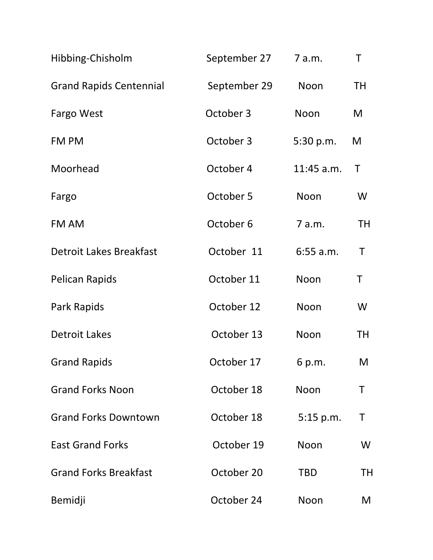| Hibbing-Chisholm               | September 27 | 7 a.m.      | T         |
|--------------------------------|--------------|-------------|-----------|
| <b>Grand Rapids Centennial</b> | September 29 | Noon        | <b>TH</b> |
| Fargo West                     | October 3    | Noon        | M         |
| FM PM                          | October 3    | 5:30 p.m.   | M         |
| Moorhead                       | October 4    | 11:45 a.m.  | Τ         |
| Fargo                          | October 5    | Noon        | W         |
| FM AM                          | October 6    | 7 a.m.      | <b>TH</b> |
| <b>Detroit Lakes Breakfast</b> | October 11   | $6:55$ a.m. | Τ         |
| <b>Pelican Rapids</b>          | October 11   | Noon        | Τ         |
| Park Rapids                    | October 12   | Noon        | W         |
| <b>Detroit Lakes</b>           | October 13   | Noon        | TH        |
| <b>Grand Rapids</b>            | October 17   | 6 p.m.      | M         |
| <b>Grand Forks Noon</b>        | October 18   | Noon        | Τ         |
| <b>Grand Forks Downtown</b>    | October 18   | 5:15 p.m.   | Τ         |
| <b>East Grand Forks</b>        | October 19   | Noon        | W         |
| <b>Grand Forks Breakfast</b>   | October 20   | <b>TBD</b>  | TН        |
| Bemidji                        | October 24   | Noon        | M         |